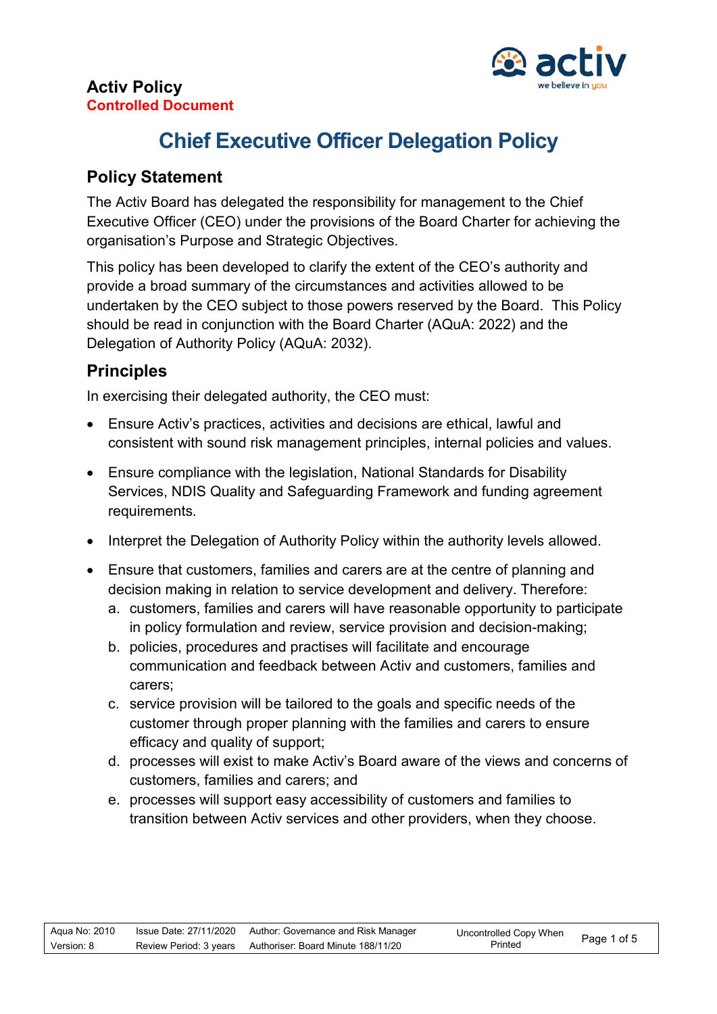

# **Chief Executive Officer Delegation Policy**

## **Policy Statement**

The Activ Board has delegated the responsibility for management to the Chief Executive Officer (CEO) under the provisions of the Board Charter for achieving the organisation's Purpose and Strategic Objectives.

This policy has been developed to clarify the extent of the CEO's authority and provide a broad summary of the circumstances and activities allowed to be undertaken by the CEO subject to those powers reserved by the Board. This Policy should be read in conjunction with the Board Charter (AQuA: 2022) and the Delegation of Authority Policy (AQuA: 2032).

## **Principles**

In exercising their delegated authority, the CEO must:

- Ensure Activ's practices, activities and decisions are ethical, lawful and consistent with sound risk management principles, internal policies and values.
- Ensure compliance with the legislation, National Standards for Disability Services, NDIS Quality and Safeguarding Framework and funding agreement requirements.
- Interpret the Delegation of Authority Policy within the authority levels allowed.
- Ensure that customers, families and carers are at the centre of planning and decision making in relation to service development and delivery. Therefore:
	- a. customers, families and carers will have reasonable opportunity to participate in policy formulation and review, service provision and decision-making;
	- b. policies, procedures and practises will facilitate and encourage communication and feedback between Activ and customers, families and carers;
	- c. service provision will be tailored to the goals and specific needs of the customer through proper planning with the families and carers to ensure efficacy and quality of support;
	- d. processes will exist to make Activ's Board aware of the views and concerns of customers, families and carers; and
	- e. processes will support easy accessibility of customers and families to transition between Activ services and other providers, when they choose.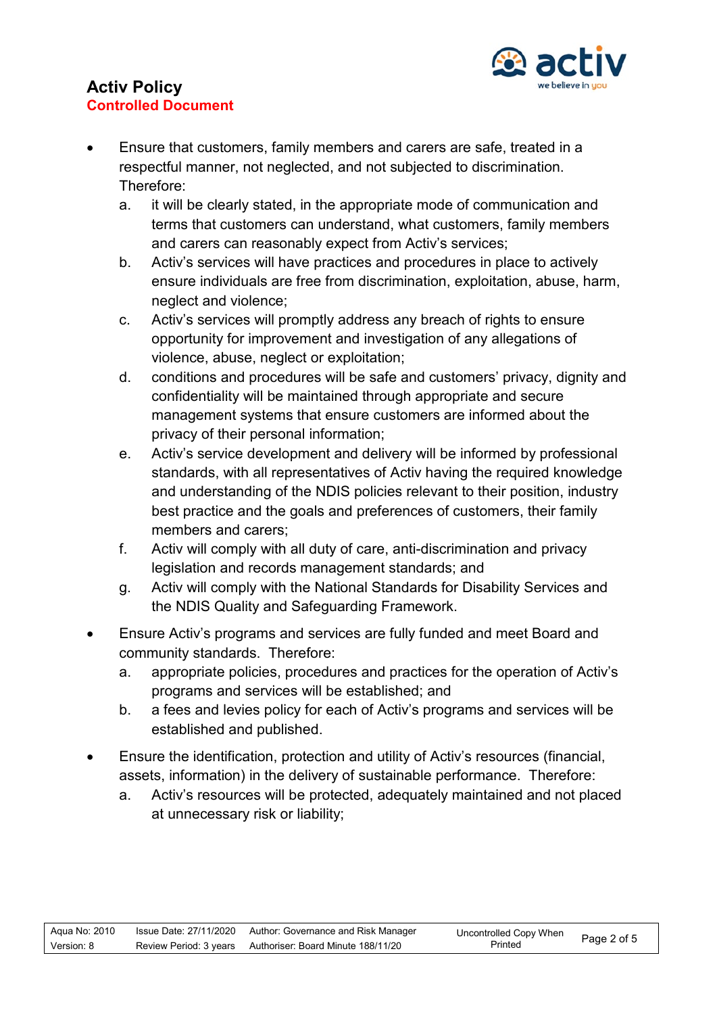

- Ensure that customers, family members and carers are safe, treated in a respectful manner, not neglected, and not subjected to discrimination. Therefore:
	- a. it will be clearly stated, in the appropriate mode of communication and terms that customers can understand, what customers, family members and carers can reasonably expect from Activ's services;
	- b. Activ's services will have practices and procedures in place to actively ensure individuals are free from discrimination, exploitation, abuse, harm, neglect and violence;
	- c. Activ's services will promptly address any breach of rights to ensure opportunity for improvement and investigation of any allegations of violence, abuse, neglect or exploitation;
	- d. conditions and procedures will be safe and customers' privacy, dignity and confidentiality will be maintained through appropriate and secure management systems that ensure customers are informed about the privacy of their personal information;
	- e. Activ's service development and delivery will be informed by professional standards, with all representatives of Activ having the required knowledge and understanding of the NDIS policies relevant to their position, industry best practice and the goals and preferences of customers, their family members and carers;
	- f. Activ will comply with all duty of care, anti-discrimination and privacy legislation and records management standards; and
	- g. Activ will comply with the National Standards for Disability Services and the NDIS Quality and Safeguarding Framework.
- Ensure Activ's programs and services are fully funded and meet Board and community standards. Therefore:
	- a. appropriate policies, procedures and practices for the operation of Activ's programs and services will be established; and
	- b. a fees and levies policy for each of Activ's programs and services will be established and published.
- Ensure the identification, protection and utility of Activ's resources (financial, assets, information) in the delivery of sustainable performance. Therefore:
	- a. Activ's resources will be protected, adequately maintained and not placed at unnecessary risk or liability;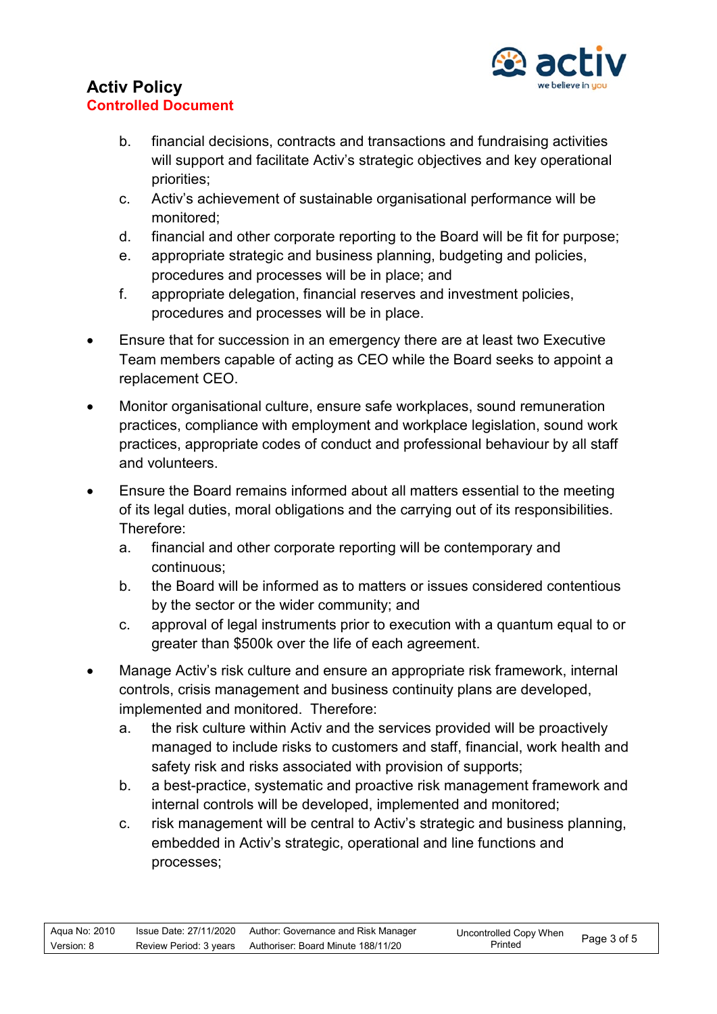

- b. financial decisions, contracts and transactions and fundraising activities will support and facilitate Activ's strategic objectives and key operational priorities;
- c. Activ's achievement of sustainable organisational performance will be monitored;
- d. financial and other corporate reporting to the Board will be fit for purpose;
- e. appropriate strategic and business planning, budgeting and policies, procedures and processes will be in place; and
- f. appropriate delegation, financial reserves and investment policies, procedures and processes will be in place.
- Ensure that for succession in an emergency there are at least two Executive Team members capable of acting as CEO while the Board seeks to appoint a replacement CEO.
- Monitor organisational culture, ensure safe workplaces, sound remuneration practices, compliance with employment and workplace legislation, sound work practices, appropriate codes of conduct and professional behaviour by all staff and volunteers.
- Ensure the Board remains informed about all matters essential to the meeting of its legal duties, moral obligations and the carrying out of its responsibilities. Therefore:
	- a. financial and other corporate reporting will be contemporary and continuous;
	- b. the Board will be informed as to matters or issues considered contentious by the sector or the wider community; and
	- c. approval of legal instruments prior to execution with a quantum equal to or greater than \$500k over the life of each agreement.
- Manage Activ's risk culture and ensure an appropriate risk framework, internal controls, crisis management and business continuity plans are developed, implemented and monitored. Therefore:
	- a. the risk culture within Activ and the services provided will be proactively managed to include risks to customers and staff, financial, work health and safety risk and risks associated with provision of supports;
	- b. a best-practice, systematic and proactive risk management framework and internal controls will be developed, implemented and monitored;
	- c. risk management will be central to Activ's strategic and business planning, embedded in Activ's strategic, operational and line functions and processes;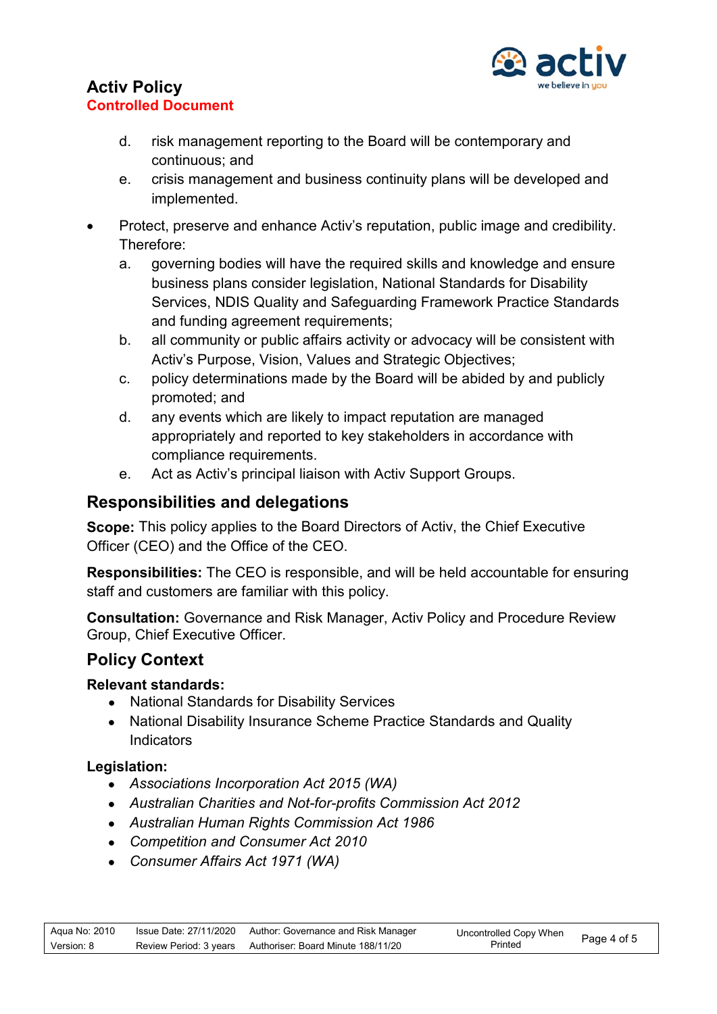

- d. risk management reporting to the Board will be contemporary and continuous; and
- e. crisis management and business continuity plans will be developed and implemented.
- Protect, preserve and enhance Activ's reputation, public image and credibility. Therefore:
	- a. governing bodies will have the required skills and knowledge and ensure business plans consider legislation, National Standards for Disability Services, NDIS Quality and Safeguarding Framework Practice Standards and funding agreement requirements;
	- b. all community or public affairs activity or advocacy will be consistent with Activ's Purpose, Vision, Values and Strategic Objectives;
	- c. policy determinations made by the Board will be abided by and publicly promoted; and
	- d. any events which are likely to impact reputation are managed appropriately and reported to key stakeholders in accordance with compliance requirements.
	- e. Act as Activ's principal liaison with Activ Support Groups.

### **Responsibilities and delegations**

**Scope:** This policy applies to the Board Directors of Activ, the Chief Executive Officer (CEO) and the Office of the CEO.

**Responsibilities:** The CEO is responsible, and will be held accountable for ensuring staff and customers are familiar with this policy.

**Consultation:** Governance and Risk Manager, Activ Policy and Procedure Review Group, Chief Executive Officer.

## **Policy Context**

#### **Relevant standards:**

- National Standards for Disability Services
- National Disability Insurance Scheme Practice Standards and Quality **Indicators**

#### **Legislation:**

- *Associations Incorporation Act 2015 (WA)*
- *Australian Charities and Not-for-profits Commission Act 2012*
- *Australian Human Rights Commission Act 1986*
- *Competition and Consumer Act 2010*
- *Consumer Affairs Act 1971 (WA)*